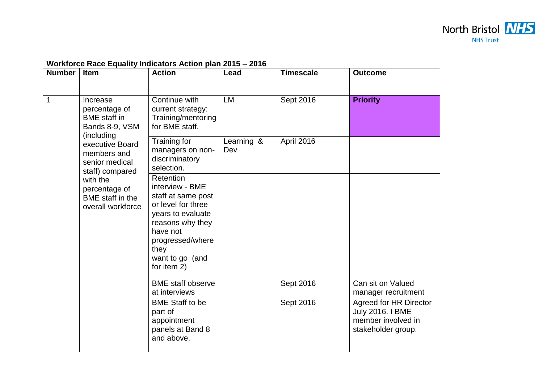## **Workforce Race Equality Indicators Action plan 2015 – 2016 Number Item Action Lead Timescale Outcome** 1 Increase percentage of BME staff in Bands 8-9, VSM (including executive Board members and senior medical staff) compared with the percentage of BME staff in the overall workforce Continue with current strategy: Training/mentoring for BME staff. LM Sept 2016 **Priority**  Training for managers on nondiscriminatory selection. Learning & Dev April 2016 Retention interview - BME staff at same post or level for three years to evaluate reasons why they have not progressed/where they want to go (and for item 2) BME staff observe at interviews Sept 2016 Can sit on Valued manager recruitment BME Staff to be part of appointment panels at Band 8 and above. Sept 2016 | Agreed for HR Director July 2016. I BME member involved in stakeholder group.

North Bristol **NHS NHS Trust**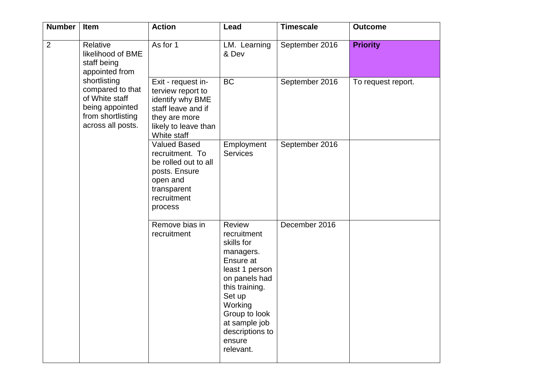| <b>Number</b>  | Item                                                                                                                                                                              | <b>Action</b>                                                                                                                             | Lead                                                                                                                                                                                                                       | <b>Timescale</b> | <b>Outcome</b>     |
|----------------|-----------------------------------------------------------------------------------------------------------------------------------------------------------------------------------|-------------------------------------------------------------------------------------------------------------------------------------------|----------------------------------------------------------------------------------------------------------------------------------------------------------------------------------------------------------------------------|------------------|--------------------|
| $\overline{2}$ | Relative<br>likelihood of BME<br>staff being<br>appointed from<br>shortlisting<br>compared to that<br>of White staff<br>being appointed<br>from shortlisting<br>across all posts. | As for 1                                                                                                                                  | LM. Learning<br>& Dev                                                                                                                                                                                                      | September 2016   | <b>Priority</b>    |
|                |                                                                                                                                                                                   | Exit - request in-<br>terview report to<br>identify why BME<br>staff leave and if<br>they are more<br>likely to leave than<br>White staff | BC                                                                                                                                                                                                                         | September 2016   | To request report. |
|                |                                                                                                                                                                                   | <b>Valued Based</b><br>recruitment. To<br>be rolled out to all<br>posts. Ensure<br>open and<br>transparent<br>recruitment<br>process      | Employment<br><b>Services</b>                                                                                                                                                                                              | September 2016   |                    |
|                |                                                                                                                                                                                   | Remove bias in<br>recruitment                                                                                                             | <b>Review</b><br>recruitment<br>skills for<br>managers.<br>Ensure at<br>least 1 person<br>on panels had<br>this training.<br>Set up<br>Working<br>Group to look<br>at sample job<br>descriptions to<br>ensure<br>relevant. | December 2016    |                    |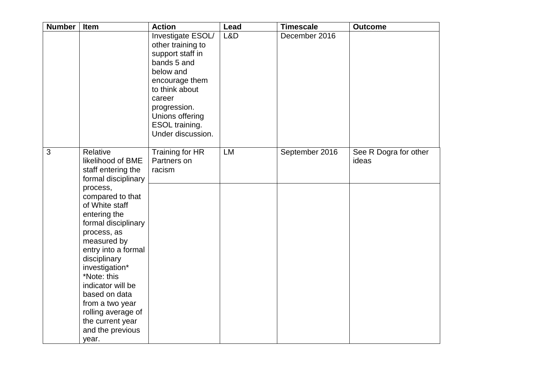| <b>Number</b> | Item                                                                                                                                                                                                                                                                                                                                                                                                      | <b>Action</b>                                                                                                                                                                                                  | Lead | <b>Timescale</b> | <b>Outcome</b>                 |
|---------------|-----------------------------------------------------------------------------------------------------------------------------------------------------------------------------------------------------------------------------------------------------------------------------------------------------------------------------------------------------------------------------------------------------------|----------------------------------------------------------------------------------------------------------------------------------------------------------------------------------------------------------------|------|------------------|--------------------------------|
|               |                                                                                                                                                                                                                                                                                                                                                                                                           | Investigate ESOL/<br>other training to<br>support staff in<br>bands 5 and<br>below and<br>encourage them<br>to think about<br>career<br>progression.<br>Unions offering<br>ESOL training.<br>Under discussion. | L&D  | December 2016    |                                |
| 3             | Relative<br>likelihood of BME<br>staff entering the<br>formal disciplinary<br>process,<br>compared to that<br>of White staff<br>entering the<br>formal disciplinary<br>process, as<br>measured by<br>entry into a formal<br>disciplinary<br>investigation*<br>*Note: this<br>indicator will be<br>based on data<br>from a two year<br>rolling average of<br>the current year<br>and the previous<br>year. | Training for HR<br>Partners on<br>racism                                                                                                                                                                       | LM   | September 2016   | See R Dogra for other<br>ideas |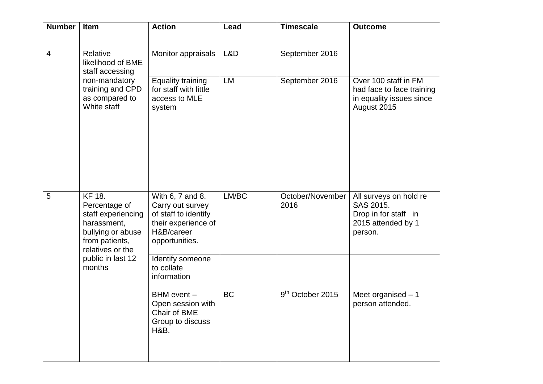| <b>Number</b>  | Item                                                                                                                                                          | <b>Action</b>                                                                                                       | Lead      | <b>Timescale</b>             | <b>Outcome</b>                                                                               |
|----------------|---------------------------------------------------------------------------------------------------------------------------------------------------------------|---------------------------------------------------------------------------------------------------------------------|-----------|------------------------------|----------------------------------------------------------------------------------------------|
| $\overline{4}$ | Relative<br>likelihood of BME<br>staff accessing<br>non-mandatory<br>training and CPD<br>as compared to<br>White staff                                        | Monitor appraisals                                                                                                  | L&D       | September 2016               |                                                                                              |
|                |                                                                                                                                                               | <b>Equality training</b><br>for staff with little<br>access to MLE<br>system                                        | <b>LM</b> | September 2016               | Over 100 staff in FM<br>had face to face training<br>in equality issues since<br>August 2015 |
| 5              | <b>KF 18.</b><br>Percentage of<br>staff experiencing<br>harassment,<br>bullying or abuse<br>from patients,<br>relatives or the<br>public in last 12<br>months | With 6, 7 and 8.<br>Carry out survey<br>of staff to identify<br>their experience of<br>H&B/career<br>opportunities. | LM/BC     | October/November<br>2016     | All surveys on hold re<br>SAS 2015.<br>Drop in for staff in<br>2015 attended by 1<br>person. |
|                |                                                                                                                                                               | Identify someone<br>to collate<br>information                                                                       |           |                              |                                                                                              |
|                |                                                                                                                                                               | $\overline{B}$ HM event $-$<br>Open session with<br>Chair of BME<br>Group to discuss<br>H&B.                        | <b>BC</b> | 9 <sup>th</sup> October 2015 | Meet organised $-1$<br>person attended.                                                      |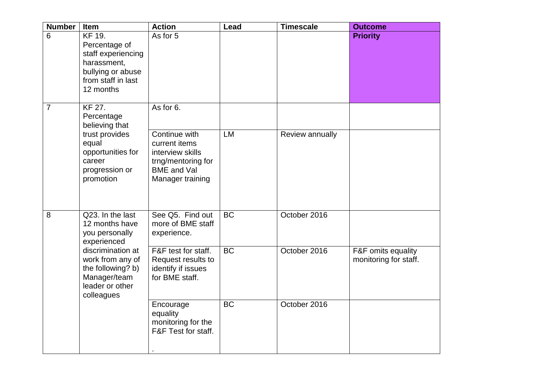| <b>Number</b>                                 | Item                                                                                                                                                                               | <b>Action</b>                                                                                                      | Lead      | <b>Timescale</b> | <b>Outcome</b>                              |
|-----------------------------------------------|------------------------------------------------------------------------------------------------------------------------------------------------------------------------------------|--------------------------------------------------------------------------------------------------------------------|-----------|------------------|---------------------------------------------|
| $6\phantom{1}6$                               | <b>KF 19.</b><br>Percentage of<br>staff experiencing<br>harassment,<br>bullying or abuse<br>from staff in last<br>12 months                                                        | As for 5                                                                                                           |           |                  | <b>Priority</b>                             |
| <b>KF 27.</b><br>$\overline{7}$<br>Percentage | believing that                                                                                                                                                                     | As for 6.                                                                                                          |           |                  |                                             |
|                                               | trust provides<br>equal<br>opportunities for<br>career<br>progression or<br>promotion                                                                                              | Continue with<br>current items<br>interview skills<br>trng/mentoring for<br><b>BME</b> and Val<br>Manager training | <b>LM</b> | Review annually  |                                             |
| 8                                             | Q23. In the last<br>12 months have<br>you personally<br>experienced<br>discrimination at<br>work from any of<br>the following? b)<br>Manager/team<br>leader or other<br>colleagues | See Q5. Find out<br>more of BME staff<br>experience.                                                               | BC        | October 2016     |                                             |
|                                               |                                                                                                                                                                                    | F&F test for staff.<br>Request results to<br>identify if issues<br>for BME staff.                                  | <b>BC</b> | October 2016     | F&F omits equality<br>monitoring for staff. |
|                                               |                                                                                                                                                                                    | Encourage<br>equality<br>monitoring for the<br>F&F Test for staff.                                                 | <b>BC</b> | October 2016     |                                             |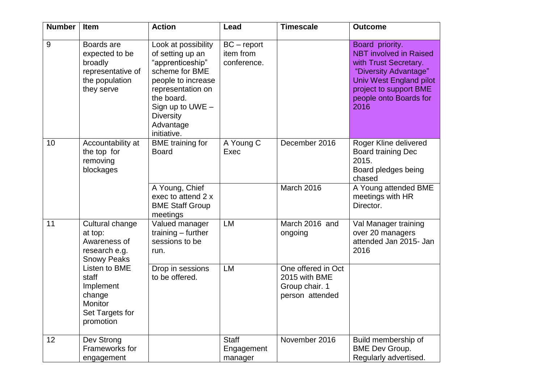| <b>Number</b>   | <b>Item</b>                                                                                                                                                                          | <b>Action</b>                                                                                                                                                                                                | Lead                                      | <b>Timescale</b>                                                         | <b>Outcome</b>                                                                                                                                                                            |
|-----------------|--------------------------------------------------------------------------------------------------------------------------------------------------------------------------------------|--------------------------------------------------------------------------------------------------------------------------------------------------------------------------------------------------------------|-------------------------------------------|--------------------------------------------------------------------------|-------------------------------------------------------------------------------------------------------------------------------------------------------------------------------------------|
| 9               | Boards are<br>expected to be<br>broadly<br>representative of<br>the population<br>they serve                                                                                         | Look at possibility<br>of setting up an<br>"apprenticeship"<br>scheme for BME<br>people to increase<br>representation on<br>the board.<br>Sign up to UWE $-$<br><b>Diversity</b><br>Advantage<br>initiative. | $BC$ – report<br>item from<br>conference. |                                                                          | Board priority.<br><b>NBT</b> involved in Raised<br>with Trust Secretary.<br>"Diversity Advantage"<br>Univ West England pilot<br>project to support BME<br>people onto Boards for<br>2016 |
| 10 <sup>1</sup> | Accountability at<br>the top for<br>removing<br>blockages                                                                                                                            | <b>BME</b> training for<br><b>Board</b>                                                                                                                                                                      | A Young C<br>Exec                         | December 2016                                                            | Roger Kline delivered<br><b>Board training Dec</b><br>2015.<br>Board pledges being<br>chased                                                                                              |
|                 |                                                                                                                                                                                      | A Young, Chief<br>exec to attend 2 x<br><b>BME Staff Group</b><br>meetings                                                                                                                                   |                                           | March 2016                                                               | A Young attended BME<br>meetings with HR<br>Director.                                                                                                                                     |
| 11              | Cultural change<br>at top:<br>Awareness of<br>research e.g.<br><b>Snowy Peaks</b><br>Listen to BME<br>staff<br>Implement<br>change<br><b>Monitor</b><br>Set Targets for<br>promotion | Valued manager<br>training $-$ further<br>sessions to be<br>run.                                                                                                                                             | LM                                        | March 2016 and<br>ongoing                                                | Val Manager training<br>over 20 managers<br>attended Jan 2015- Jan<br>2016                                                                                                                |
|                 |                                                                                                                                                                                      | Drop in sessions<br>to be offered.                                                                                                                                                                           | LM                                        | One offered in Oct<br>2015 with BME<br>Group chair. 1<br>person attended |                                                                                                                                                                                           |
| 12              | Dev Strong<br>Frameworks for<br>engagement                                                                                                                                           |                                                                                                                                                                                                              | <b>Staff</b><br>Engagement<br>manager     | November 2016                                                            | Build membership of<br><b>BME Dev Group.</b><br>Regularly advertised.                                                                                                                     |